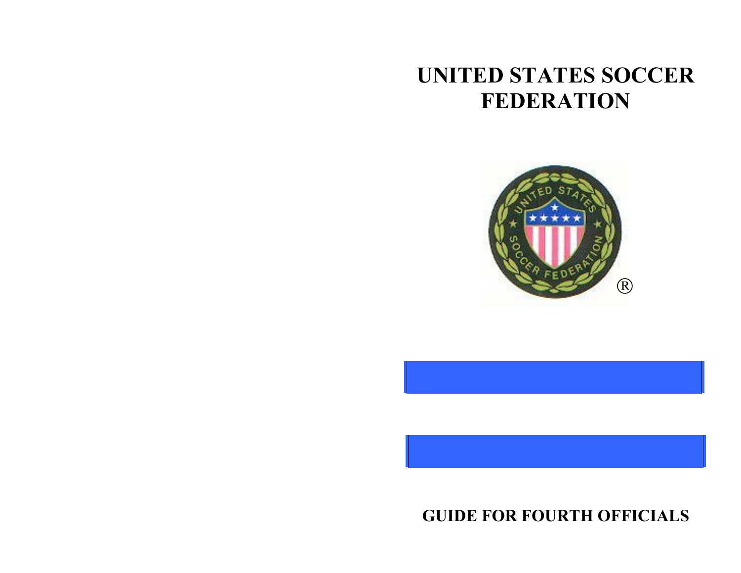# **UNITED STATES SOCCER FEDERATION**



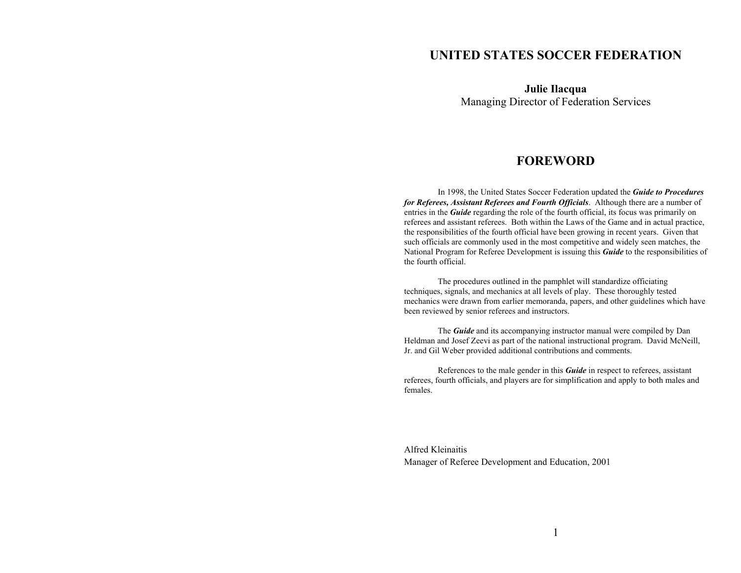#### **UNITED STATES SOCCER FEDERATION**

**Julie Ilacqua**  Managing Director of Federation Services

#### **FOREWORD**

In 1998, the United States Soccer Federation updated the *Guide to Procedures for Referees, Assistant Referees and Fourth Officials*. Although there are a number of entries in the *Guide* regarding the role of the fourth official, its focus was primarily on referees and assistant referees. Both within the Laws of the Game and in actual practice, the responsibilities of the fourth official have been growing in recent years. Given that such officials are commonly used in the most competitive and widely seen matches, the National Program for Referee Development is issuing this *Guide* to the responsibilities of the fourth official.

 The procedures outlined in the pamphlet will standardize officiating techniques, signals, and mechanics at all levels of play. These thoroughly tested mechanics were drawn from earlier memoranda, papers, and other guidelines which have been reviewed by senior referees and instructors.

 The *Guide* and its accompanying instructor manual were compiled by Dan Heldman and Josef Zeevi as part of the national instructional program. David McNeill, Jr. and Gil Weber provided additional contributions and comments.

 References to the male gender in this *Guide* in respect to referees, assistant referees, fourth officials, and players are for simplification and apply to both males and females.

Alfred Kleinaitis Manager of Referee Development and Education, 2001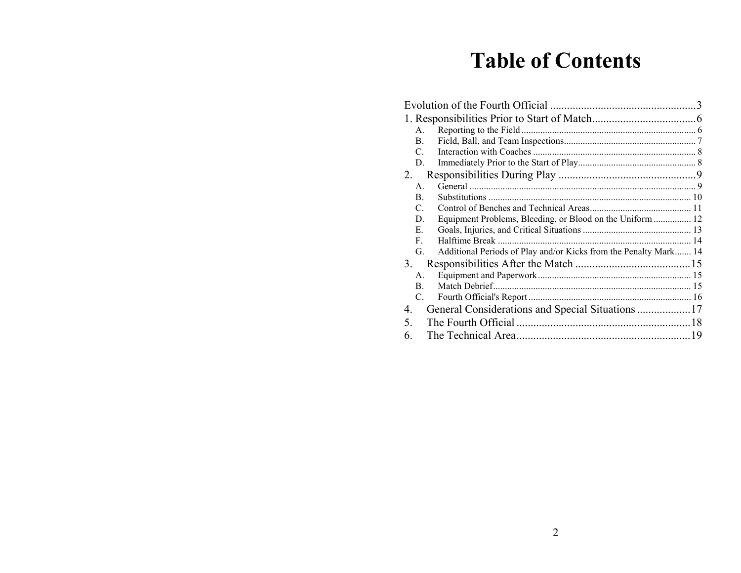# **Table of Contents**

| $\mathsf{A}$ |                                                                  |  |  |  |
|--------------|------------------------------------------------------------------|--|--|--|
| B.           |                                                                  |  |  |  |
| C.           |                                                                  |  |  |  |
| D.           |                                                                  |  |  |  |
| 2.           |                                                                  |  |  |  |
| $\mathsf{A}$ |                                                                  |  |  |  |
| B.           |                                                                  |  |  |  |
| C.           |                                                                  |  |  |  |
| D.           |                                                                  |  |  |  |
| Е.           |                                                                  |  |  |  |
| F.           |                                                                  |  |  |  |
| G.           | Additional Periods of Play and/or Kicks from the Penalty Mark 14 |  |  |  |
| 3.           |                                                                  |  |  |  |
| $A_{\cdot}$  |                                                                  |  |  |  |
| B.           |                                                                  |  |  |  |
| C.           |                                                                  |  |  |  |
| 4.           | General Considerations and Special Situations 17                 |  |  |  |
| 5.           |                                                                  |  |  |  |
| 6            |                                                                  |  |  |  |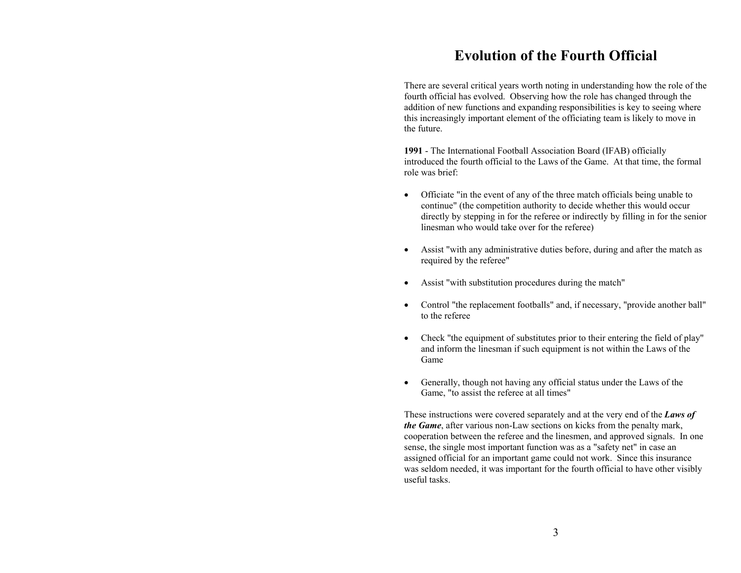# **Evolution of the Fourth Official**

<span id="page-4-0"></span>There are several critical years worth noting in understanding how the role of the fourth official has evolved. Observing how the role has changed through the addition of new functions and expanding responsibilities is key to seeing where this increasingly important element of the officiating team is likely to move in the future.

**1991** - The International Football Association Board (IFAB) officially introduced the fourth official to the Laws of the Game. At that time, the formal role was brief:

- Officiate "in the event of any of the three match officials being unable to continue" (the competition authority to decide whether this would occur directly by stepping in for the referee or indirectly by filling in for the senior linesman who would take over for the referee)
- Assist "with any administrative duties before, during and after the match as required by the referee"
- Assist "with substitution procedures during the match"
- Control "the replacement footballs" and, if necessary, "provide another ball" to the referee
- Check "the equipment of substitutes prior to their entering the field of play" and inform the linesman if such equipment is not within the Laws of the Game
- Generally, though not having any official status under the Laws of the Game, "to assist the referee at all times"

These instructions were covered separately and at the very end of the *Laws of the Game*, after various non-Law sections on kicks from the penalty mark, cooperation between the referee and the linesmen, and approved signals. In one sense, the single most important function was as a "safety net" in case an assigned official for an important game could not work. Since this insurance was seldom needed, it was important for the fourth official to have other visibly useful tasks.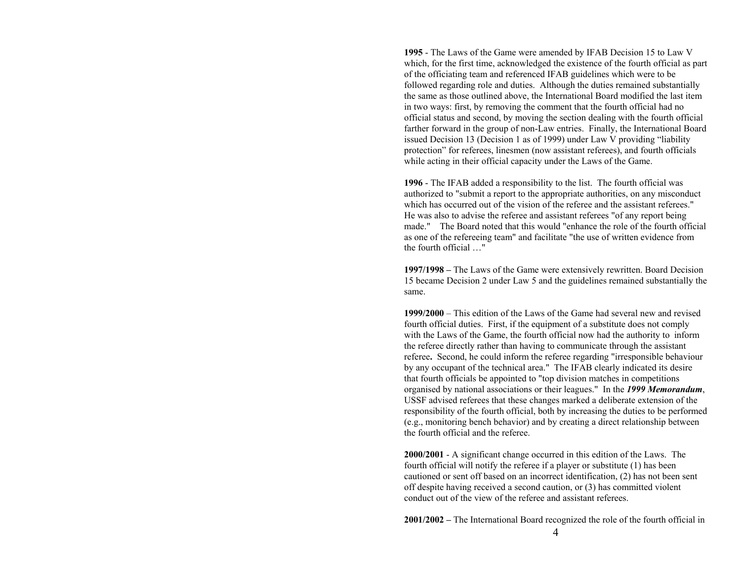**1995** - The Laws of the Game were amended by IFAB Decision 15 to Law V which, for the first time, acknowledged the existence of the fourth official as part of the officiating team and referenced IFAB guidelines which were to be followed regarding role and duties. Although the duties remained substantially the same as those outlined above, the International Board modified the last item in two ways: first, by removing the comment that the fourth official had no official status and second, by moving the section dealing with the fourth official farther forward in the group of non-Law entries. Finally, the International Board issued Decision 13 (Decision 1 as of 1999) under Law V providing "liability protection" for referees, linesmen (now assistant referees), and fourth officials while acting in their official capacity under the Laws of the Game.

**1996** - The IFAB added a responsibility to the list. The fourth official was authorized to "submit a report to the appropriate authorities, on any misconduct which has occurred out of the vision of the referee and the assistant referees." He was also to advise the referee and assistant referees "of any report being made." The Board noted that this would "enhance the role of the fourth official as one of the refereeing team" and facilitate "the use of written evidence from the fourth official …"

**1997/1998 –** The Laws of the Game were extensively rewritten. Board Decision 15 became Decision 2 under Law 5 and the guidelines remained substantially the same.

**1999/2000** – This edition of the Laws of the Game had several new and revised fourth official duties. First, if the equipment of a substitute does not comply with the Laws of the Game, the fourth official now had the authority to inform the referee directly rather than having to communicate through the assistant referee**.** Second, he could inform the referee regarding "irresponsible behaviour by any occupant of the technical area." The IFAB clearly indicated its desire that fourth officials be appointed to "top division matches in competitions organised by national associations or their leagues." In the *1999 Memorandum*, USSF advised referees that these changes marked a deliberate extension of the responsibility of the fourth official, both by increasing the duties to be performed (e.g., monitoring bench behavior) and by creating a direct relationship between the fourth official and the referee.

**2000/2001** - A significant change occurred in this edition of the Laws. The fourth official will notify the referee if a player or substitute (1) has been cautioned or sent off based on an incorrect identification, (2) has not been sent off despite having received a second caution, or (3) has committed violent conduct out of the view of the referee and assistant referees.

**2001/2002 –** The International Board recognized the role of the fourth official in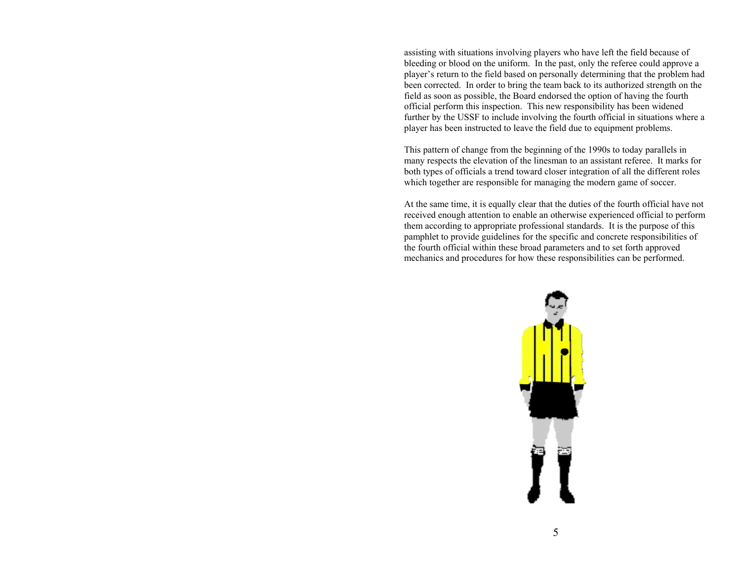assisting with situations involving players who have left the field because of bleeding or blood on the uniform. In the past, only the referee could approve a player's return to the field based on personally determining that the problem had been corrected. In order to bring the team back to its authorized strength on the field as soon as possible, the Board endorsed the option of having the fourth official perform this inspection. This new responsibility has been widened further by the USSF to include involving the fourth official in situations where a player has been instructed to leave the field due to equipment problems.

This pattern of change from the beginning of the 1990s to today parallels in many respects the elevation of the linesman to an assistant referee. It marks for both types of officials a trend toward closer integration of all the different roles which together are responsible for managing the modern game of soccer.

At the same time, it is equally clear that the duties of the fourth official have not received enough attention to enable an otherwise experienced official to perform them according to appropriate professional standards. It is the purpose of this pamphlet to provide guidelines for the specific and concrete responsibilities of the fourth official within these broad parameters and to set forth approved mechanics and procedures for how these responsibilities can be performed.

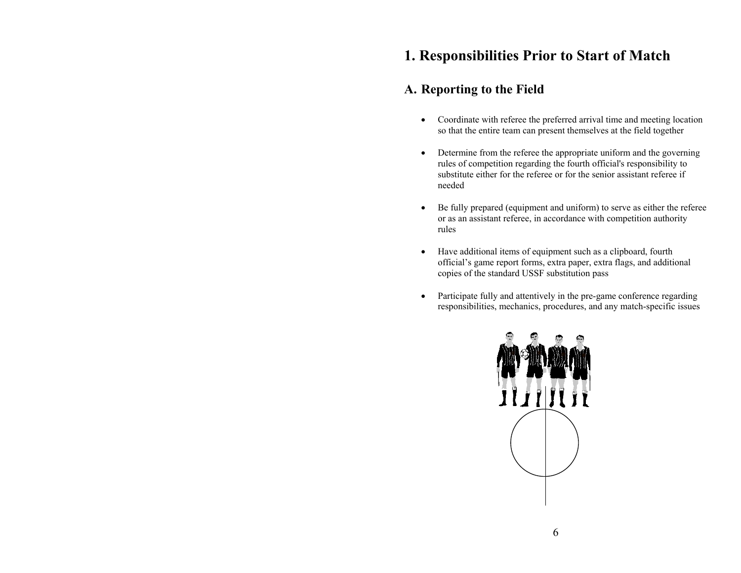# <span id="page-7-0"></span>**1. Responsibilities Prior to Start of Match**

#### **A. Reporting to the Field**

- Coordinate with referee the preferred arrival time and meeting location so that the entire team can present themselves at the field together
- Determine from the referee the appropriate uniform and the governing rules of competition regarding the fourth official's responsibility to substitute either for the referee or for the senior assistant referee if needed
- Be fully prepared (equipment and uniform) to serve as either the referee or as an assistant referee, in accordance with competition authority rules
- Have additional items of equipment such as a clipboard, fourth official's game report forms, extra paper, extra flags, and additional copies of the standard USSF substitution pass
- Participate fully and attentively in the pre-game conference regarding responsibilities, mechanics, procedures, and any match-specific issues

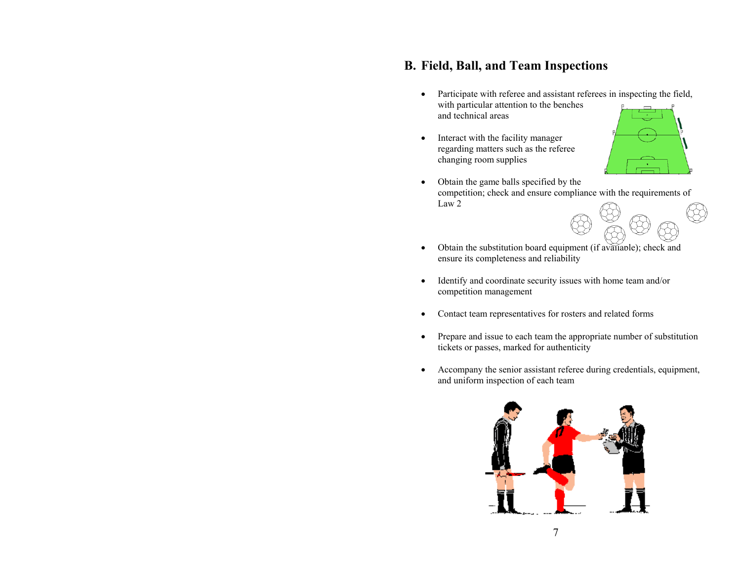### <span id="page-8-0"></span>**B. Field, Ball, and Team Inspections**

- Participate with referee and assistant referees in inspecting the field, with particular attention to the benches and technical areas
- Interact with the facility manager regarding matters such as the referee changing room supplies



- Obtain the game balls specified by the competition; check and ensure compliance with the requirements of Law 2
- Obtain the substitution board equipment (if available); check and ensure its completeness and reliability
- Identify and coordinate security issues with home team and/or competition management
- Contact team representatives for rosters and related forms
- Prepare and issue to each team the appropriate number of substitution tickets or passes, marked for authenticity
- Accompany the senior assistant referee during credentials, equipment, and uniform inspection of each team

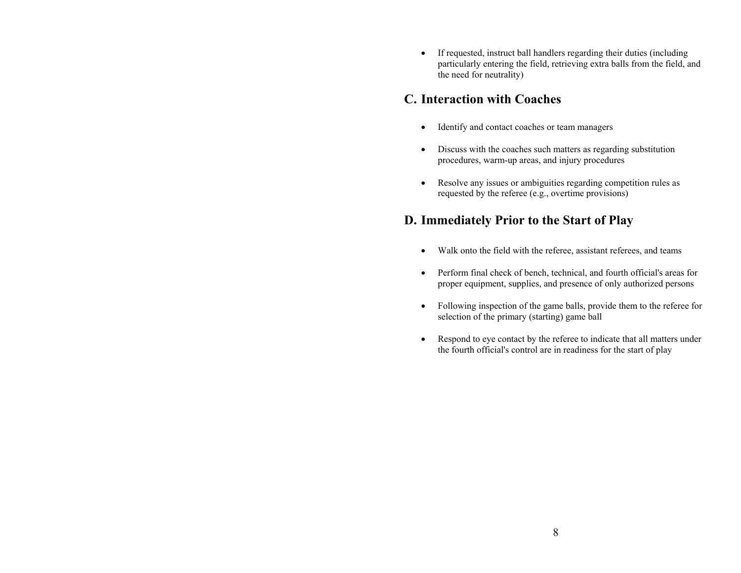• If requested, instruct ball handlers regarding their duties (including particularly entering the field, retrieving extra balls from the field, and the need for neutrality)

## <span id="page-9-0"></span>**C. Interaction with Coaches**

- Identify and contact coaches or team managers
- Discuss with the coaches such matters as regarding substitution procedures, warm-up areas, and injury procedures
- Resolve any issues or ambiguities regarding competition rules as requested by the referee (e.g., overtime provisions)

#### **D. Immediately Prior to the Start of Play**

- Walk onto the field with the referee, assistant referees, and teams
- Perform final check of bench, technical, and fourth official's areas for proper equipment, supplies, and presence of only authorized persons
- Following inspection of the game balls, provide them to the referee for selection of the primary (starting) game ball
- Respond to eye contact by the referee to indicate that all matters under the fourth official's control are in readiness for the start of play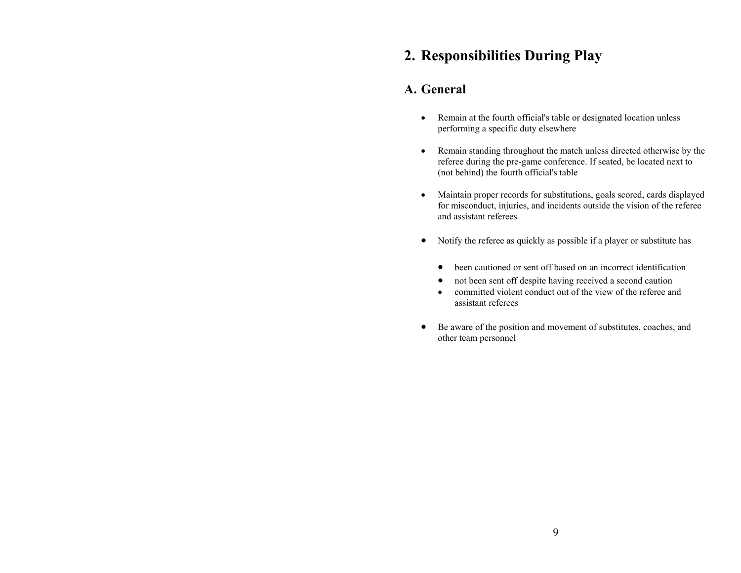# <span id="page-10-0"></span>**2. Responsibilities During Play**

#### **A. General**

- Remain at the fourth official's table or designated location unless performing a specific duty elsewhere
- Remain standing throughout the match unless directed otherwise by the referee during the pre-game conference. If seated, be located next to (not behind) the fourth official's table
- Maintain proper records for substitutions, goals scored, cards displayed for misconduct, injuries, and incidents outside the vision of the referee and assistant referees
- Notify the referee as quickly as possible if a player or substitute has
	- been cautioned or sent off based on an incorrect identification
	- not been sent off despite having received a second caution
	- committed violent conduct out of the view of the referee and assistant referees
- Be aware of the position and movement of substitutes, coaches, and other team personnel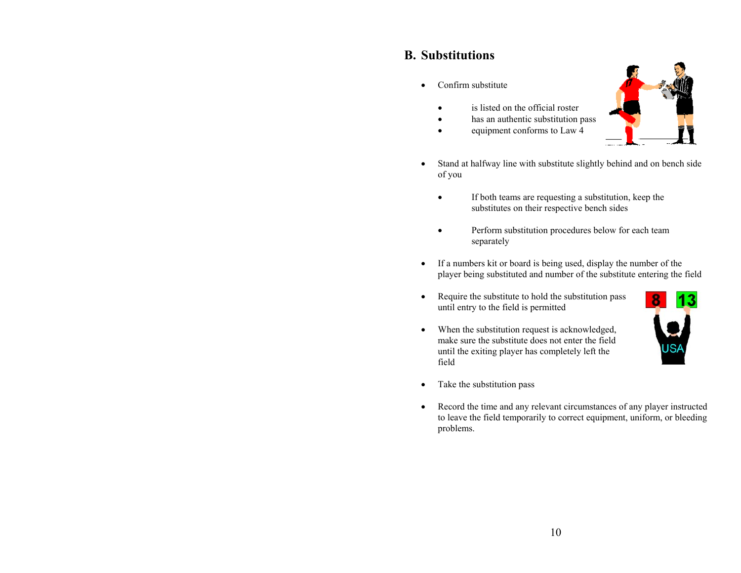## <span id="page-11-0"></span>**B. Substitutions**

- Confirm substitute
	- is listed on the official roster
	- has an authentic substitution pass
	- equipment conforms to Law 4



- Stand at halfway line with substitute slightly behind and on bench side of you
	- If both teams are requesting a substitution, keep the substitutes on their respective bench sides
	- Perform substitution procedures below for each team separately
- If a numbers kit or board is being used, display the number of the player being substituted and number of the substitute entering the field
- Require the substitute to hold the substitution pass until entry to the field is permitted
- When the substitution request is acknowledged, make sure the substitute does not enter the field until the exiting player has completely left the field



- Take the substitution pass
- Record the time and any relevant circumstances of any player instructed to leave the field temporarily to correct equipment, uniform, or bleeding problems.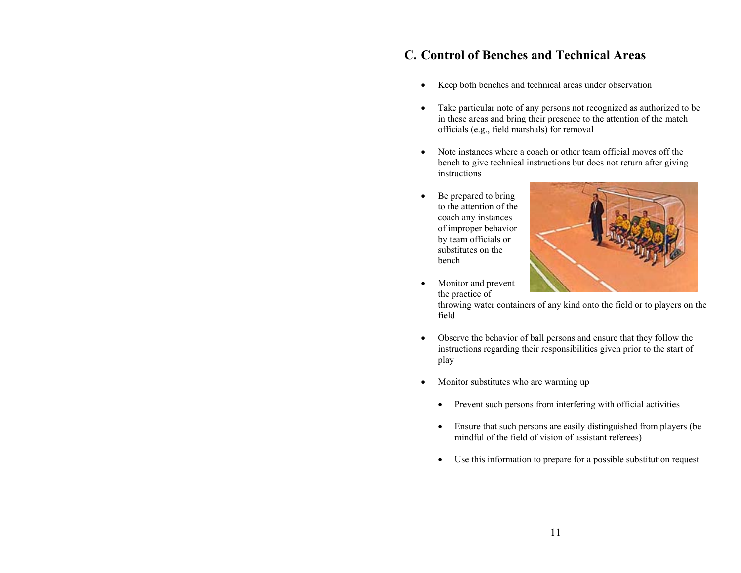#### <span id="page-12-0"></span>**C. Control of Benches and Technical Areas**

- Keep both benches and technical areas under observation
- Take particular note of any persons not recognized as authorized to be in these areas and bring their presence to the attention of the match officials (e.g., field marshals) for removal
- Note instances where a coach or other team official moves off the bench to give technical instructions but does not return after giving instructions
- Be prepared to bring to the attention of the coach any instances of improper behavior by team officials or substitutes on the bench



• Monitor and prevent the practice of

> throwing water containers of any kind onto the field or to players on the field

- Observe the behavior of ball persons and ensure that they follow the instructions regarding their responsibilities given prior to the start of play
- Monitor substitutes who are warming up
	- Prevent such persons from interfering with official activities
	- Ensure that such persons are easily distinguished from players (be) mindful of the field of vision of assistant referees)
	- Use this information to prepare for a possible substitution request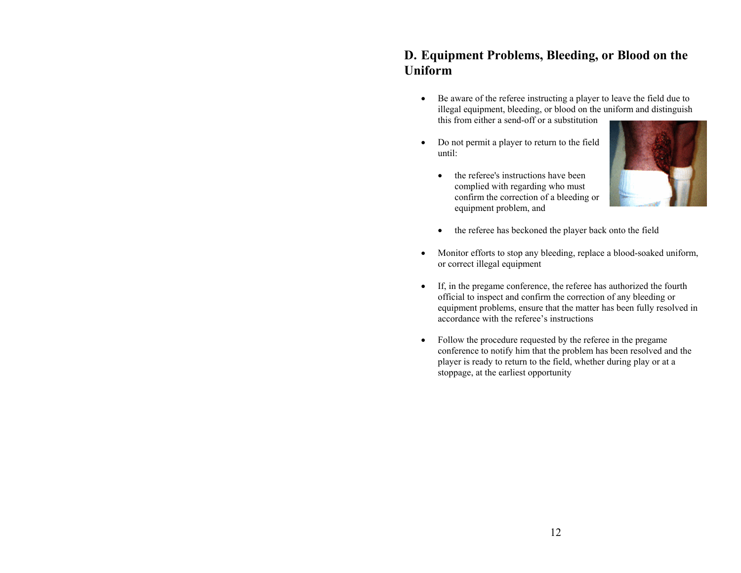## <span id="page-13-0"></span>**D. Equipment Problems, Bleeding, or Blood on the Uniform**

- Be aware of the referee instructing a player to leave the field due to illegal equipment, bleeding, or blood on the uniform and distinguish this from either a send-off or a substitution
- Do not permit a player to return to the field until:



- the referee's instructions have been complied with regarding who must confirm the correction of a bleeding or equipment problem, and
- the referee has beckoned the player back onto the field
- Monitor efforts to stop any bleeding, replace a blood-soaked uniform, or correct illegal equipment
- If, in the pregame conference, the referee has authorized the fourth official to inspect and confirm the correction of any bleeding or equipment problems, ensure that the matter has been fully resolved in accordance with the referee's instructions
- Follow the procedure requested by the referee in the pregame conference to notify him that the problem has been resolved and the player is ready to return to the field, whether during play or at a stoppage, at the earliest opportunity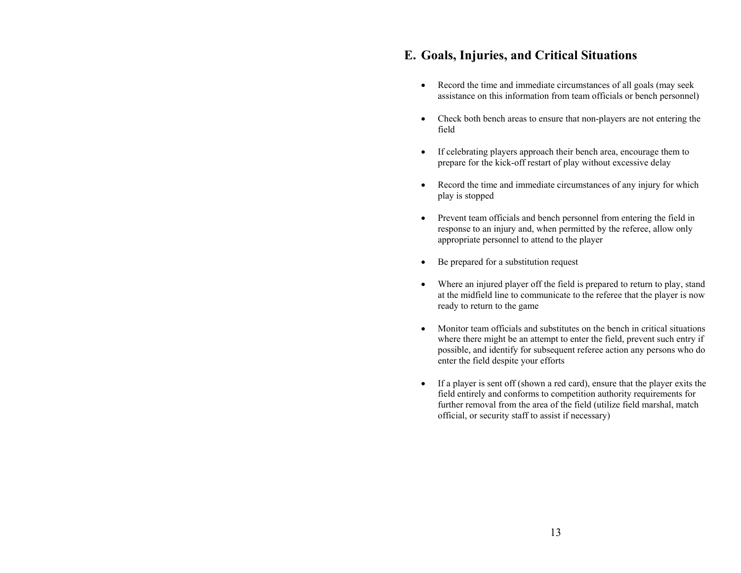#### <span id="page-14-0"></span>**E. Goals, Injuries, and Critical Situations**

- Record the time and immediate circumstances of all goals (may seek assistance on this information from team officials or bench personnel)
- Check both bench areas to ensure that non-players are not entering the field
- If celebrating players approach their bench area, encourage them to prepare for the kick-off restart of play without excessive delay
- Record the time and immediate circumstances of any injury for which play is stopped
- Prevent team officials and bench personnel from entering the field in response to an injury and, when permitted by the referee, allow only appropriate personnel to attend to the player
- Be prepared for a substitution request
- Where an injured player off the field is prepared to return to play, stand at the midfield line to communicate to the referee that the player is now ready to return to the game
- Monitor team officials and substitutes on the bench in critical situations where there might be an attempt to enter the field, prevent such entry if possible, and identify for subsequent referee action any persons who do enter the field despite your efforts
- If a player is sent off (shown a red card), ensure that the player exits the field entirely and conforms to competition authority requirements for further removal from the area of the field (utilize field marshal, match official, or security staff to assist if necessary)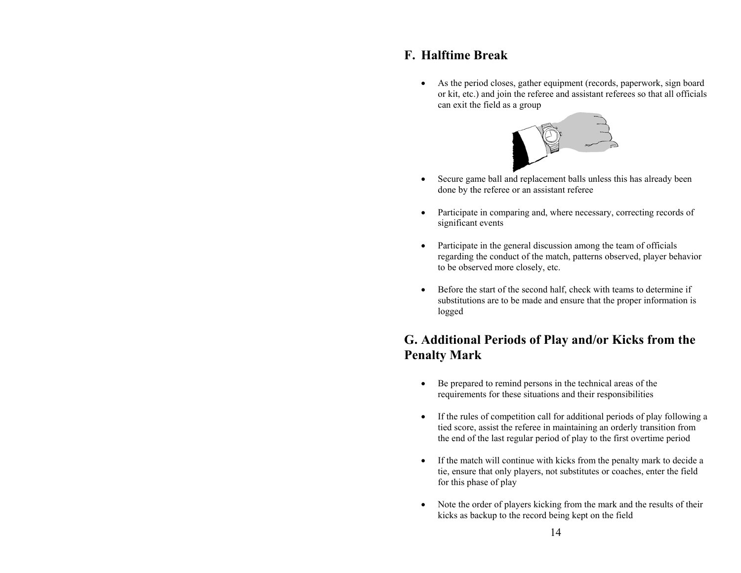## <span id="page-15-0"></span>**F. Halftime Break**

• As the period closes, gather equipment (records, paperwork, sign board or kit, etc.) and join the referee and assistant referees so that all officials can exit the field as a group



- Secure game ball and replacement balls unless this has already been done by the referee or an assistant referee
- Participate in comparing and, where necessary, correcting records of significant events
- Participate in the general discussion among the team of officials regarding the conduct of the match, patterns observed, player behavior to be observed more closely, etc.
- Before the start of the second half, check with teams to determine if substitutions are to be made and ensure that the proper information is logged

## **G. Additional Periods of Play and/or Kicks from the Penalty Mark**

- Be prepared to remind persons in the technical areas of the requirements for these situations and their responsibilities
- If the rules of competition call for additional periods of play following a tied score, assist the referee in maintaining an orderly transition from the end of the last regular period of play to the first overtime period
- If the match will continue with kicks from the penalty mark to decide a tie, ensure that only players, not substitutes or coaches, enter the field for this phase of play
- Note the order of players kicking from the mark and the results of their kicks as backup to the record being kept on the field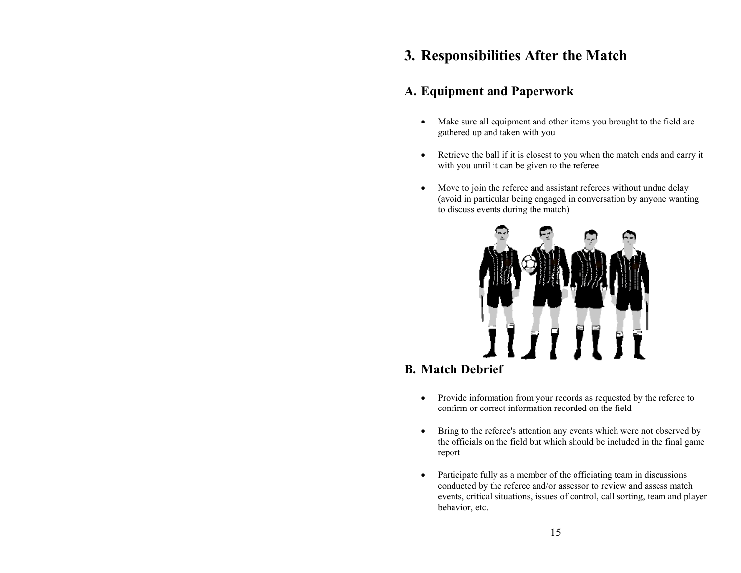# <span id="page-16-0"></span>**3. Responsibilities After the Match**

## **A. Equipment and Paperwork**

- Make sure all equipment and other items you brought to the field are gathered up and taken with you
- Retrieve the ball if it is closest to you when the match ends and carry it with you until it can be given to the referee
- Move to join the referee and assistant referees without undue delay (avoid in particular being engaged in conversation by anyone wanting to discuss events during the match)



## **B. Match Debrief**

- Provide information from your records as requested by the referee to confirm or correct information recorded on the field
- Bring to the referee's attention any events which were not observed by the officials on the field but which should be included in the final game report
- Participate fully as a member of the officiating team in discussions conducted by the referee and/or assessor to review and assess match events, critical situations, issues of control, call sorting, team and player behavior, etc.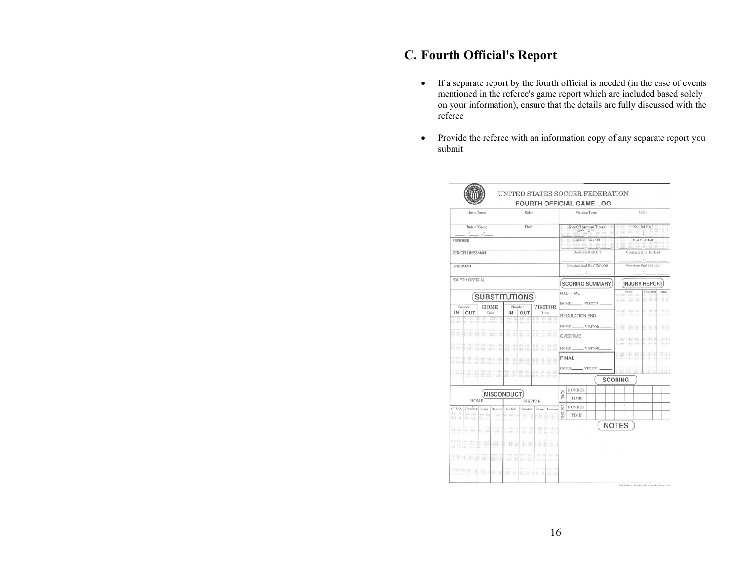# <span id="page-17-0"></span>**C. Fourth Official's Report**

- If a separate report by the fourth official is needed (in the case of events mentioned in the referee's game report which are included based solely on your information), ensure that the details are fully discussed with the referee
- Provide the referee with an information copy of any separate report you submit

| Color<br>Home Team                                                    |                                           |                              |                       |                | Visiting Team                         |                        |                           | Color                 |                                  |
|-----------------------------------------------------------------------|-------------------------------------------|------------------------------|-----------------------|----------------|---------------------------------------|------------------------|---------------------------|-----------------------|----------------------------------|
| Field<br>Date of Game                                                 |                                           |                              |                       |                | Kkk Off (Actual Time)                 |                        |                           | End 1st Half          |                                  |
| $\sqrt{2}-\sqrt{2}$                                                   |                                           |                              |                       |                | Ovw. O <sub>EN</sub>                  |                        |                           |                       |                                  |
| REFEREE<br>SENIOR LINESMAN                                            |                                           |                              |                       |                | 2nd Half Kick Off.                    |                        | End 2nd Half              |                       |                                  |
|                                                                       |                                           |                              |                       |                |                                       |                        | <u> Barnet Alexandria</u> |                       |                                  |
|                                                                       |                                           |                              |                       |                | Overtime Kick Off                     |                        |                           | Overtime End 1st Half |                                  |
| LINESMAN                                                              |                                           |                              |                       |                | _÷_<br>Overtime 2nd Half Kick Off     |                        | Overtime End 2nd Half     |                       |                                  |
|                                                                       |                                           |                              |                       |                | $\cdot$ :                             |                        | ÷                         |                       |                                  |
| FOURTH OFFICIAL                                                       |                                           |                              |                       |                | <b>SCORING SUMMARY</b>                |                        | <b>INJURY REPORT</b>      |                       |                                  |
| SUBSTITUTIONS)                                                        |                                           |                              |                       |                | <b>HALFTIME</b>                       |                        | <b>TEAM</b>               | NUMBER<br>TIME        |                                  |
| Number<br>IN                                                          | <b>HOME</b>                               | Number                       |                       | <b>VISITOR</b> |                                       | HOME_________ VISITOR_ |                           |                       | <u> 1999 - James James</u>       |
| OUT                                                                   | Time                                      | IN<br>OUT                    | Time                  |                |                                       | <b>REGULATION END</b>  |                           |                       |                                  |
|                                                                       |                                           |                              |                       |                | HOME _______ VISITOR                  |                        |                           |                       |                                  |
|                                                                       |                                           |                              |                       |                |                                       | OVERTIME               |                           |                       |                                  |
|                                                                       |                                           |                              |                       |                | HOME ________ VISITOR.                |                        |                           |                       | <b>Contractory School Street</b> |
| HHIHH                                                                 | <b>Barnett Barnett</b>                    |                              |                       |                | <b>FINAL</b><br>HOME_________ VISITOR |                        |                           |                       |                                  |
| 1806<br><b>ROBERT</b>                                                 |                                           | WEEK                         |                       |                |                                       |                        |                           |                       | Billiam                          |
|                                                                       | <u> 1999 - John Barnett, fransk forsk</u> |                              |                       |                |                                       |                        | <b>SCORING</b>            |                       |                                  |
|                                                                       |                                           |                              |                       |                |                                       | <b>NUMBER</b>          |                           |                       |                                  |
| MISCONDUCT                                                            |                                           |                              |                       |                |                                       | TIME                   |                           |                       |                                  |
|                                                                       | HOME                                      | <b>VISITOR</b>               |                       |                | HONE                                  | <b>NUMBER</b>          |                           |                       |                                  |
| C/8.0.                                                                | Number Time Reason                        | C/5.0.<br>Number             | Time                  | Roason         | SHOLISIA                              |                        |                           |                       |                                  |
| Hillin                                                                | <u>e de la</u><br>Hill Store              |                              |                       |                |                                       | TIME                   |                           |                       |                                  |
| Mining British and a series and a bund<br><b>Band</b><br><b>Hotel</b> |                                           |                              |                       | <b>NOTES</b>   |                                       |                        |                           |                       |                                  |
| inting                                                                | e<br><b>ABILITY</b>                       | <b>SHARRED</b><br>0000000000 |                       | <b>SSISH</b>   |                                       |                        |                           |                       |                                  |
|                                                                       |                                           |                              |                       | teconomic      |                                       |                        |                           |                       |                                  |
|                                                                       |                                           |                              |                       |                |                                       |                        |                           |                       |                                  |
| With billin                                                           |                                           |                              | <b>START DIRECTOR</b> |                |                                       |                        |                           |                       |                                  |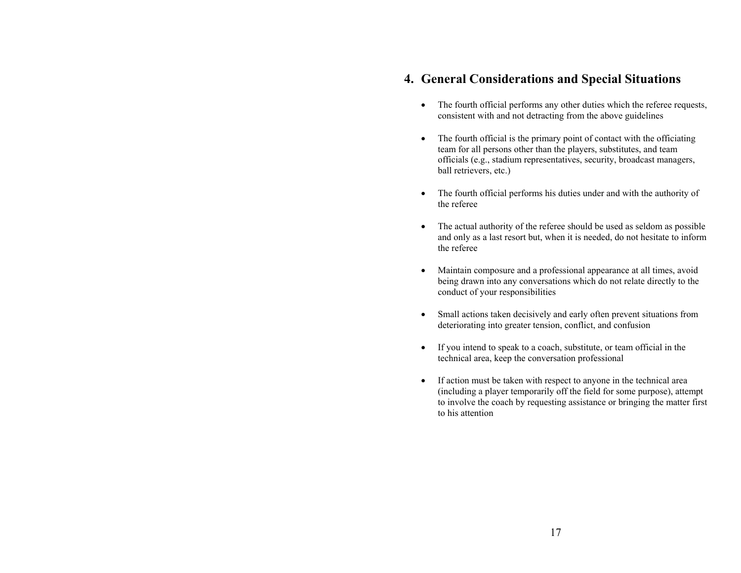#### <span id="page-18-0"></span>**4. General Considerations and Special Situations**

- The fourth official performs any other duties which the referee requests, consistent with and not detracting from the above guidelines
- The fourth official is the primary point of contact with the officiating team for all persons other than the players, substitutes, and team officials (e.g., stadium representatives, security, broadcast managers, ball retrievers, etc.)
- The fourth official performs his duties under and with the authority of the referee
- The actual authority of the referee should be used as seldom as possible and only as a last resort but, when it is needed, do not hesitate to inform the referee
- Maintain composure and a professional appearance at all times, avoid being drawn into any conversations which do not relate directly to the conduct of your responsibilities
- Small actions taken decisively and early often prevent situations from deteriorating into greater tension, conflict, and confusion
- If you intend to speak to a coach, substitute, or team official in the technical area, keep the conversation professional
- If action must be taken with respect to anyone in the technical area (including a player temporarily off the field for some purpose), attempt to involve the coach by requesting assistance or bringing the matter first to his attention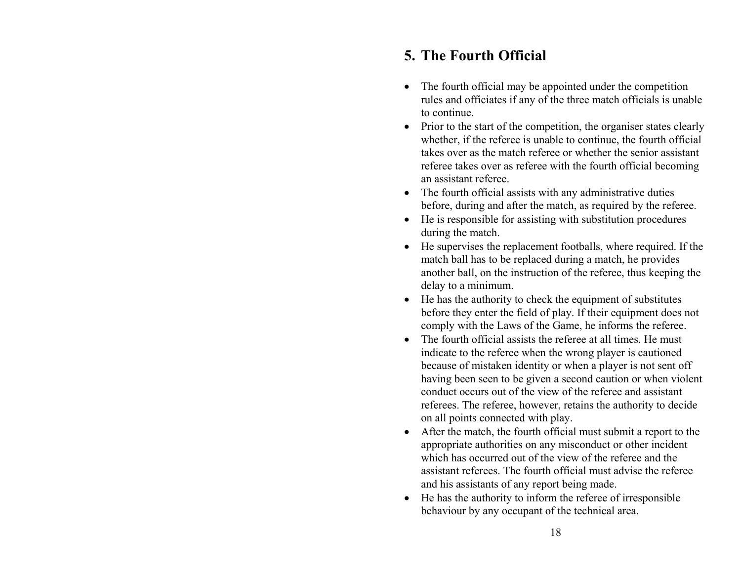# <span id="page-19-0"></span>**5. The Fourth Official**

- The fourth official may be appointed under the competition rules and officiates if any of the three match officials is unable to continue.
- Prior to the start of the competition, the organiser states clearly whether, if the referee is unable to continue, the fourth official takes over as the match referee or whether the senior assistant referee takes over as referee with the fourth official becoming an assistant referee.
- The fourth official assists with any administrative duties before, during and after the match, as required by the referee.
- He is responsible for assisting with substitution procedures during the match.
- He supervises the replacement footballs, where required. If the match ball has to be replaced during a match, he provides another ball, on the instruction of the referee, thus keeping the delay to a minimum.
- He has the authority to check the equipment of substitutes before they enter the field of play. If their equipment does not comply with the Laws of the Game, he informs the referee.
- The fourth official assists the referee at all times. He must indicate to the referee when the wrong player is cautioned because of mistaken identity or when a player is not sent off having been seen to be given a second caution or when violent conduct occurs out of the view of the referee and assistant referees. The referee, however, retains the authority to decide on all points connected with play.
- After the match, the fourth official must submit a report to the appropriate authorities on any misconduct or other incident which has occurred out of the view of the referee and the assistant referees. The fourth official must advise the referee and his assistants of any report being made.
- He has the authority to inform the referee of irresponsible behaviour by any occupant of the technical area.